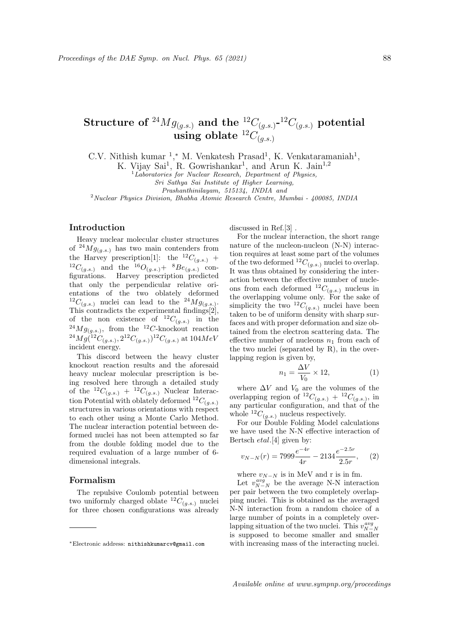# Structure of  $^{24}Mg_{(g.s.)}$  and the  $^{12}C_{(g.s.)}$ - $^{12}C_{(g.s.)}$  potential using oblate  ${}^{12}C_{(as)}$

C.V. Nithish kumar<sup>1</sup>,<sup>\*</sup> M. Venkatesh Prasad<sup>1</sup>, K. Venkataramaniah<sup>1</sup>,

K. Vijay Sai<sup>1</sup>, R. Gowrishankar<sup>1</sup>, and Arun K. Jain<sup>1,2</sup>

 ${}^{1}$ Laboratories for Nuclear Research, Department of Physics,

Sri Sathya Sai Institute of Higher Learning,

Prashanthinilayam, 515134, INDIA and

<sup>2</sup>Nuclear Physics Division, Bhabha Atomic Research Centre, Mumbai - 400085, INDIA

# Introduction

Heavy nuclear molecular cluster structures of  $^{24}Mg_{(q,s.)}$  has two main contenders from the Harvey prescription[1]: the  ${}^{12}C_{(g.s.)}$  +  ${}^{12}C_{(g.s.)}$  and the  ${}^{16}O_{(g.s.)}$   $*$   ${}^{8}Be_{(g.s.)}$  configurations. Harvey prescription predicted that only the perpendicular relative orientations of the two oblately deformed <sup>12</sup>C<sub>(g.s.)</sub> nuclei can lead to the <sup>24</sup>Mg<sub>(g.s.)</sub>. This contradicts the experimental findings[2], of the non existence of  ${}^{12}C_{(g.s.)}$  in the  $^{24}Mg_{(g.s.)}$ , from the  $^{12}C$ -knockout reaction  $^{24}Mg(^{12}C_{(g.s.)}, 2^{12}C_{(g.s.)})^{12}C_{(g.s.)}$  at  $104MeV$ incident energy.

This discord between the heavy cluster knockout reaction results and the aforesaid heavy nuclear molecular prescription is being resolved here through a detailed study of the  ${}^{12}C_{(g.s.)}$  +  ${}^{12}C_{(g.s.)}$  Nuclear Interaction Potential with oblately deformed  ${}^{12}C_{(g,s)}$ structures in various orientations with respect to each other using a Monte Carlo Method. The nuclear interaction potential between deformed nuclei has not been attempted so far from the double folding model due to the required evaluation of a large number of 6 dimensional integrals.

## Formalism

The repulsive Coulomb potential between two uniformly charged oblate  ${}^{12}C_{(a,s.)}$  nuclei for three chosen configurations was already discussed in Ref.[3] .

For the nuclear interaction, the short range nature of the nucleon-nucleon (N-N) interaction requires at least some part of the volumes of the two deformed  ${}^{12}C_{(g.s.)}$  nuclei to overlap. It was thus obtained by considering the interaction between the effective number of nucleons from each deformed  ${}^{12}C_{(g.s.)}$  nucleus in the overlapping volume only. For the sake of simplicity the two  ${}^{12}C_{(a,s.)}$  nuclei have been taken to be of uniform density with sharp surfaces and with proper deformation and size obtained from the electron scattering data. The effective number of nucleons  $n_1$  from each of the two nuclei (separated by R), in the overlapping region is given by,

$$
n_1 = \frac{\Delta V}{V_0} \times 12,\tag{1}
$$

where  $\Delta V$  and  $V_0$  are the volumes of the overlapping region of  ${}^{12}C_{(g.s.)} + {}^{12}C_{(g.s.)}$ , in any particular configuration, and that of the whole  ${}^{12}C_{(q.s.)}$  nucleus respectively.

For our Double Folding Model calculations we have used the N-N effective interaction of Bertsch etal.[4] given by:

$$
v_{N-N}(r) = 7999 \frac{e^{-4r}}{4r} - 2134 \frac{e^{-2.5r}}{2.5r}, \quad (2)
$$

where  $v_{N-N}$  is in MeV and r is in fm.

Let  $v_{N-N}^{avg}$  be the average N-N interaction per pair between the two completely overlapping nuclei. This is obtained as the averaged N-N interaction from a random choice of a large number of points in a completely overlapping situation of the two nuclei. This  $v_{N-N}^{avg}$ is supposed to become smaller and smaller with increasing mass of the interacting nuclei.

<sup>∗</sup>Electronic address: nithishkumarcv@gmail.com